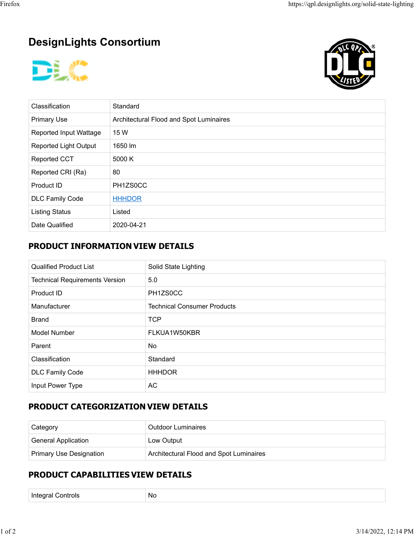# **DesignLights Consortium**





| Classification               | Standard                                |
|------------------------------|-----------------------------------------|
| <b>Primary Use</b>           | Architectural Flood and Spot Luminaires |
| Reported Input Wattage       | 15 W                                    |
| <b>Reported Light Output</b> | 1650 lm                                 |
| <b>Reported CCT</b>          | 5000 K                                  |
| Reported CRI (Ra)            | 80                                      |
| Product ID                   | PH1ZS0CC                                |
| <b>DLC Family Code</b>       | <b>HHHDOR</b>                           |
| <b>Listing Status</b>        | Listed                                  |
| Date Qualified               | 2020-04-21                              |

## **PRODUCT INFORMATION VIEW DETAILS**

| <b>Qualified Product List</b>         | Solid State Lighting               |
|---------------------------------------|------------------------------------|
| <b>Technical Requirements Version</b> | 5.0                                |
| Product ID                            | PH1ZS0CC                           |
| Manufacturer                          | <b>Technical Consumer Products</b> |
| <b>Brand</b>                          | <b>TCP</b>                         |
| Model Number                          | FLKUA1W50KBR                       |
| Parent                                | No.                                |
| Classification                        | Standard                           |
| <b>DLC Family Code</b>                | <b>HHHDOR</b>                      |
| Input Power Type                      | AC                                 |

## **PRODUCT CATEGORIZATION VIEW DETAILS**

| Category                       | <b>Outdoor Luminaires</b>               |  |
|--------------------------------|-----------------------------------------|--|
| <b>General Application</b>     | Low Output                              |  |
| <b>Primary Use Designation</b> | Architectural Flood and Spot Luminaires |  |

### **PRODUCT CAPABILITIES VIEW DETAILS**

Integral Controls No